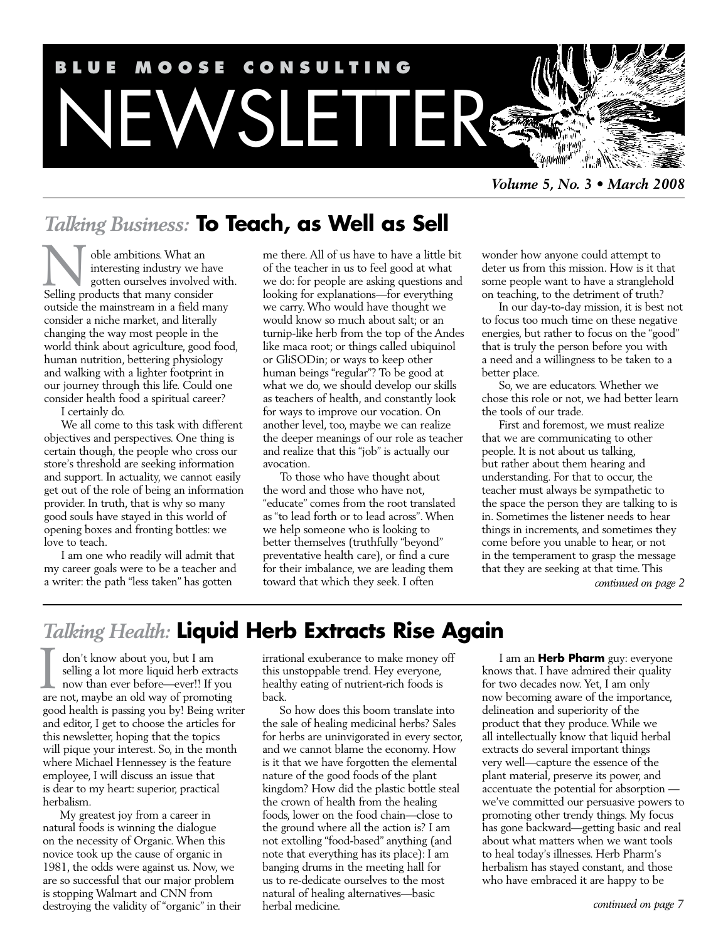

*Volume 5, No. 3 • March 2008*

# *Talking Business:* **To Teach, as Well as Sell**

oble ambitions. What an interesting industry we have gotten ourselves involved with. The ambitions. What an interesting industry we have gotten ourselves involved v<br>Selling products that many consider outside the mainstream in a field many consider a niche market, and literally changing the way most people in the world think about agriculture, good food, human nutrition, bettering physiology and walking with a lighter footprint in our journey through this life. Could one consider health food a spiritual career? I certainly do.

We all come to this task with different objectives and perspectives. One thing is certain though, the people who cross our store's threshold are seeking information and support. In actuality, we cannot easily get out of the role of being an information provider. In truth, that is why so many good souls have stayed in this world of opening boxes and fronting bottles: we love to teach.

I am one who readily will admit that my career goals were to be a teacher and a writer: the path "less taken" has gotten

me there. All of us have to have a little bit of the teacher in us to feel good at what we do: for people are asking questions and looking for explanations—for everything we carry. Who would have thought we would know so much about salt; or an turnip-like herb from the top of the Andes like maca root; or things called ubiquinol or GliSODin; or ways to keep other human beings "regular"? To be good at what we do, we should develop our skills as teachers of health, and constantly look for ways to improve our vocation. On another level, too, maybe we can realize the deeper meanings of our role as teacher and realize that this "job" is actually our avocation.

To those who have thought about the word and those who have not, "educate" comes from the root translated as "to lead forth or to lead across". When we help someone who is looking to better themselves (truthfully "beyond" preventative health care), or find a cure for their imbalance, we are leading them toward that which they seek. I often

wonder how anyone could attempt to deter us from this mission. How is it that some people want to have a stranglehold on teaching, to the detriment of truth?

In our day-to-day mission, it is best not to focus too much time on these negative energies, but rather to focus on the "good" that is truly the person before you with a need and a willingness to be taken to a better place.

So, we are educators. Whether we chose this role or not, we had better learn the tools of our trade.

First and foremost, we must realize that we are communicating to other people. It is not about us talking, but rather about them hearing and understanding. For that to occur, the teacher must always be sympathetic to the space the person they are talking to is in. Sometimes the listener needs to hear things in increments, and sometimes they come before you unable to hear, or not in the temperament to grasp the message that they are seeking at that time. This

*continued on page 2*

# *Talking Health:* **Liquid Herb Extracts Rise Again**

don't know about you, but I am selling a lot more liquid herb extracts now than ever before—ever!! If you don't know about you, but I am<br>selling a lot more liquid herb extracts<br>now than ever before—ever!! If you<br>are not, maybe an old way of promoting good health is passing you by! Being writer and editor, I get to choose the articles for this newsletter, hoping that the topics will pique your interest. So, in the month where Michael Hennessey is the feature employee, I will discuss an issue that is dear to my heart: superior, practical herbalism.

My greatest joy from a career in natural foods is winning the dialogue on the necessity of Organic. When this novice took up the cause of organic in 1981, the odds were against us. Now, we are so successful that our major problem is stopping Walmart and CNN from destroying the validity of "organic" in their irrational exuberance to make money off this unstoppable trend. Hey everyone, healthy eating of nutrient-rich foods is back.

So how does this boom translate into the sale of healing medicinal herbs? Sales for herbs are uninvigorated in every sector, and we cannot blame the economy. How is it that we have forgotten the elemental nature of the good foods of the plant kingdom? How did the plastic bottle steal the crown of health from the healing foods, lower on the food chain—close to the ground where all the action is? I am not extolling "food-based" anything (and note that everything has its place): I am banging drums in the meeting hall for us to re-dedicate ourselves to the most natural of healing alternatives—basic herbal medicine.

I am an **Herb Pharm** guy: everyone knows that. I have admired their quality for two decades now. Yet, I am only now becoming aware of the importance, delineation and superiority of the product that they produce. While we all intellectually know that liquid herbal extracts do several important things very well—capture the essence of the plant material, preserve its power, and accentuate the potential for absorption we've committed our persuasive powers to promoting other trendy things. My focus has gone backward—getting basic and real about what matters when we want tools to heal today's illnesses. Herb Pharm's herbalism has stayed constant, and those who have embraced it are happy to be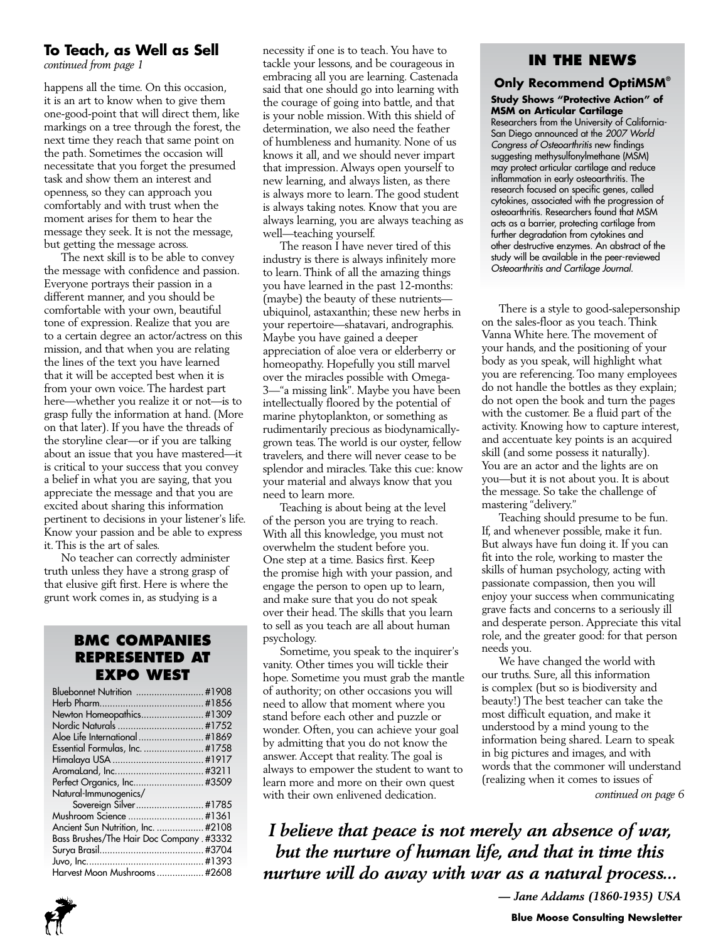#### **To Teach, as Well as Sell**

*continued from page 1*

happens all the time. On this occasion, it is an art to know when to give them one-good-point that will direct them, like markings on a tree through the forest, the next time they reach that same point on the path. Sometimes the occasion will necessitate that you forget the presumed task and show them an interest and openness, so they can approach you comfortably and with trust when the moment arises for them to hear the message they seek. It is not the message, but getting the message across.

The next skill is to be able to convey the message with confidence and passion. Everyone portrays their passion in a different manner, and you should be comfortable with your own, beautiful tone of expression. Realize that you are to a certain degree an actor/actress on this mission, and that when you are relating the lines of the text you have learned that it will be accepted best when it is from your own voice. The hardest part here—whether you realize it or not—is to grasp fully the information at hand. (More on that later). If you have the threads of the storyline clear—or if you are talking about an issue that you have mastered—it is critical to your success that you convey a belief in what you are saying, that you appreciate the message and that you are excited about sharing this information pertinent to decisions in your listener's life. Know your passion and be able to express it. This is the art of sales.

No teacher can correctly administer truth unless they have a strong grasp of that elusive gift first. Here is where the grunt work comes in, as studying is a

#### **BMC Companies represented at Expo West**

| Bluebonnet Nutrition  #1908              |  |
|------------------------------------------|--|
|                                          |  |
| Newton Homeopathics #1309                |  |
|                                          |  |
|                                          |  |
| Essential Formulas, Inc.  #1758          |  |
|                                          |  |
|                                          |  |
|                                          |  |
| Natural-Immunogenics/                    |  |
| Sovereign Silver #1785                   |  |
| Mushroom Science  #1361                  |  |
| Ancient Sun Nutrition, Inc.  #2108       |  |
| Bass Brushes/The Hair Doc Company. #3332 |  |
|                                          |  |
|                                          |  |
| Harvest Moon Mushrooms  #2608            |  |

necessity if one is to teach. You have to tackle your lessons, and be courageous in embracing all you are learning. Castenada said that one should go into learning with the courage of going into battle, and that is your noble mission. With this shield of determination, we also need the feather of humbleness and humanity. None of us knows it all, and we should never impart that impression. Always open yourself to new learning, and always listen, as there is always more to learn. The good student is always taking notes. Know that you are always learning, you are always teaching as well—teaching yourself.

The reason I have never tired of this industry is there is always infinitely more to learn. Think of all the amazing things you have learned in the past 12-months: (maybe) the beauty of these nutrients ubiquinol, astaxanthin; these new herbs in your repertoire—shatavari, andrographis. Maybe you have gained a deeper appreciation of aloe vera or elderberry or homeopathy. Hopefully you still marvel over the miracles possible with Omega-3—"a missing link". Maybe you have been intellectually floored by the potential of marine phytoplankton, or something as rudimentarily precious as biodynamicallygrown teas. The world is our oyster, fellow travelers, and there will never cease to be splendor and miracles. Take this cue: know your material and always know that you need to learn more.

Teaching is about being at the level of the person you are trying to reach. With all this knowledge, you must not overwhelm the student before you. One step at a time. Basics first. Keep the promise high with your passion, and engage the person to open up to learn, and make sure that you do not speak over their head. The skills that you learn to sell as you teach are all about human psychology.

Sometime, you speak to the inquirer's vanity. Other times you will tickle their hope. Sometime you must grab the mantle of authority; on other occasions you will need to allow that moment where you stand before each other and puzzle or wonder. Often, you can achieve your goal by admitting that you do not know the answer. Accept that reality. The goal is always to empower the student to want to learn more and more on their own quest with their own enlivened dedication.

#### **In the News**

## **Only Recommend OptiMSM®**

**Study Shows "Protective Action" of MSM on Articular Cartilage** Researchers from the University of California-San Diego announced at the *2007 World Congress of Osteoarthritis* new findings suggesting methysulfonylmethane (MSM) may protect articular cartilage and reduce inflammation in early osteoarthritis. The research focused on specific genes, called cytokines, associated with the progression of osteoarthritis. Researchers found that MSM acts as a barrier, protecting cartilage from further degradation from cytokines and other destructive enzymes. An abstract of the study will be available in the peer-reviewed *Osteoarthritis and Cartilage Journal.*

There is a style to good-salepersonship on the sales-floor as you teach. Think Vanna White here. The movement of your hands, and the positioning of your body as you speak, will highlight what you are referencing. Too many employees do not handle the bottles as they explain; do not open the book and turn the pages with the customer. Be a fluid part of the activity. Knowing how to capture interest, and accentuate key points is an acquired skill (and some possess it naturally). You are an actor and the lights are on you—but it is not about you. It is about the message. So take the challenge of mastering "delivery."

Teaching should presume to be fun. If, and whenever possible, make it fun. But always have fun doing it. If you can fit into the role, working to master the skills of human psychology, acting with passionate compassion, then you will enjoy your success when communicating grave facts and concerns to a seriously ill and desperate person. Appreciate this vital role, and the greater good: for that person needs you.

We have changed the world with our truths. Sure, all this information is complex (but so is biodiversity and beauty!) The best teacher can take the most difficult equation, and make it understood by a mind young to the information being shared. Learn to speak in big pictures and images, and with words that the commoner will understand (realizing when it comes to issues of

*continued on page 6*

*I believe that peace is not merely an absence of war, but the nurture of human life, and that in time this nurture will do away with war as a natural process...* 

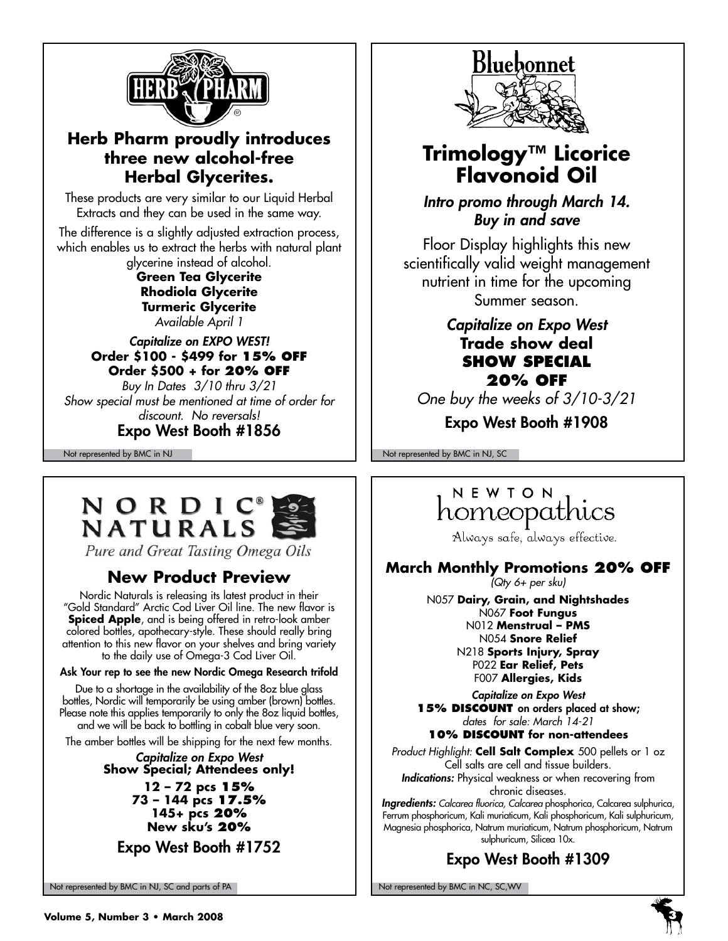

## **Herb Pharm proudly introduces three new alcohol-free Herbal Glycerites.**

These products are very similar to our Liquid Herbal Extracts and they can be used in the same way.

The difference is a slightly adjusted extraction process, which enables us to extract the herbs with natural plant glycerine instead of alcohol.

**Green Tea Glycerite Rhodiola Glycerite Turmeric Glycerite** *Available April 1*

#### *Capitalize on EXPO WEST!* **Order \$100 - \$499 for 15% off Order \$500 + for 20% off** *Buy In Dates 3/10 thru 3/21 Show special must be mentioned at time of order for discount. No reversals!*

Expo West Booth #1856

# NORDIC **NATURALS**

Pure and Great Tasting Omega Oils

## **New Product Preview**

Nordic Naturals is releasing its latest product in their "Gold Standard" Arctic Cod Liver Oil line. The new flavor is **Spiced Apple**, and is being offered in retro-look amber colored bottles, apothecary-style. These should really bring attention to this new flavor on your shelves and bring variety to the daily use of Omega-3 Cod Liver Oil.

#### Ask Your rep to see the new Nordic Omega Research trifold

Due to a shortage in the availability of the 8oz blue glass bottles, Nordic will temporarily be using amber (brown) bottles. Please note this applies temporarily to only the 8oz liquid bottles, and we will be back to bottling in cobalt blue very soon.

The amber bottles will be shipping for the next few months.

#### *Capitalize on Expo West* **Show Special; Attendees only! 12 – 72 pcs 15% 73 – 144 pcs 17.5% 145+ pcs 20% New sku's 20%**

Expo West Booth #1752

Not represented by BMC in NJ, SC and parts of PA Note that the Not represented by BMC in NC, SC, WV



## **Trimology™ Licorice Flavonoid Oil**

*Intro promo through March 14. Buy in and save*

Floor Display highlights this new scientifically valid weight management nutrient in time for the upcoming Summer season.

### *Capitalize on Expo West* **Trade show deal show special 20% Off**

*One buy the weeks of 3/10-3/21*

Expo West Booth #1908

Not represented by BMC in NJ Not represented by BMC in NJ, SC

## NEWTON homeopathics

Always safe, always effective.

### **March Monthly Promotions 20% Off**

*(Qty 6+ per sku)*

N057 **Dairy, Grain, and Nightshades** N067 **Foot Fungus** N012 **Menstrual – PMS** N054 **Snore Relief** N218 **Sports Injury, Spray** P022 **Ear Relief, Pets** F007 **Allergies, Kids**

*Capitalize on Expo West* **15% DISCOUNT** on orders placed at show; *dates for sale: March 14-21* **10% discount for non-attendees**

*Product Highlight:* **Cell Salt Complex** 500 pellets or 1 oz Cell salts are cell and tissue builders. *Indications:* Physical weakness or when recovering from chronic diseases.

*Ingredients: Calcarea fluorica, Calcarea* phosphorica, Calcarea sulphurica, Ferrum phosphoricum, Kali muriaticum, Kali phosphoricum, Kali sulphuricum, Magnesia phosphorica, Natrum muriaticum, Natrum phosphoricum, Natrum sulphuricum, Silicea 10x.

## Expo West Booth #1309

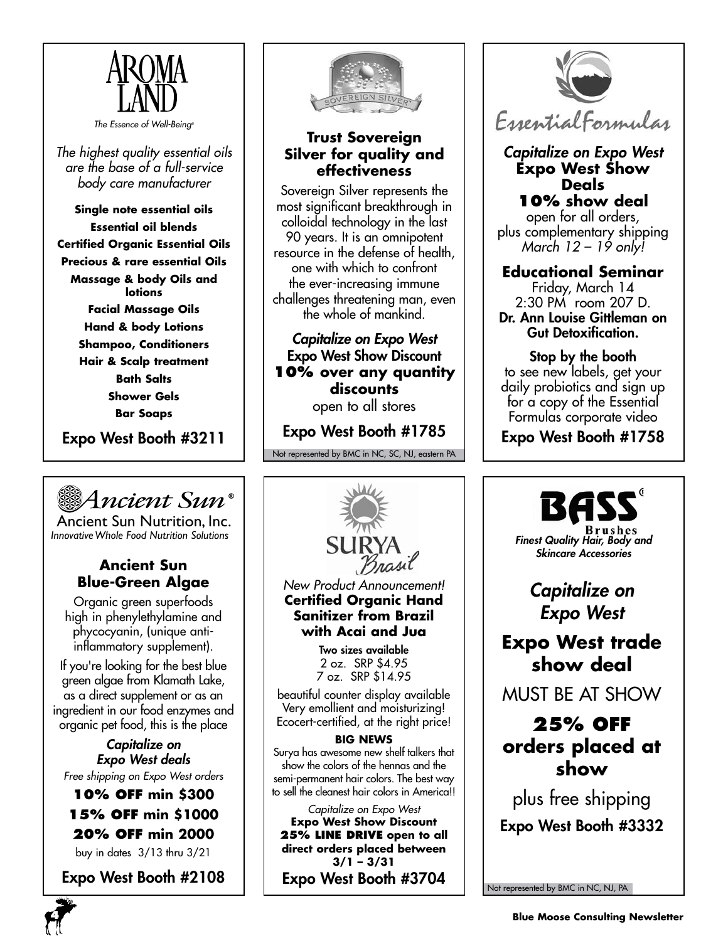

*The Essence of Well-Being®*

*The highest quality essential oils are the base of a full-service body care manufacturer*

**Single note essential oils Essential oil blends Certified Organic Essential Oils Precious & rare essential Oils Massage & body Oils and lotions Facial Massage Oils Hand & body Lotions Shampoo, Conditioners Hair & Scalp treatment Bath Salts Shower Gels Bar Soaps**

Expo West Booth #3211



Ancient Sun Nutrition, Inc. *InnovativeWhole Food Nutrition Solutions*

### **Ancient Sun Blue-Green Algae**

Organic green superfoods high in phenylethylamine and phycocyanin, (unique antiinflammatory supplement).

If you're looking for the best blue green algae from Klamath Lake, as a direct supplement or as an ingredient in our food enzymes and organic pet food, this is the place

*Capitalize on Expo West deals Free shipping on Expo West orders*

#### **10% off min \$300 15% off min \$1000 20% off min 2000** buy in dates 3/13 thru 3/21

Expo West Booth #2108



### **Trust Sovereign Silver for quality and effectiveness**

Sovereign Silver represents the most significant breakthrough in colloidal technology in the last 90 years. It is an omnipotent resource in the defense of health, one with which to confront the ever-increasing immune challenges threatening man, even the whole of mankind.

*Capitalize on Expo West* Expo West Show Discount **10% over any quantity discounts** open to all stores

Expo West Booth #1785

Not represented by BMC in NC, SC, NJ, eastern PA



*New Product Announcement!* **Certified Organic Hand Sanitizer from Brazil with Acai and Jua**

> Two sizes available 2 oz. SRP \$4.95 7 oz. SRP \$14.95

beautiful counter display available Very emollient and moisturizing! Ecocert-certified, at the right price!

#### **BIG NEWS**

Surya has awesome new shelf talkers that show the colors of the hennas and the semi-permanent hair colors. The best way to sell the cleanest hair colors in America!!

*Capitalize on Expo West* **Expo West Show Discount 25% line drive open to all direct orders placed between 3/1 – 3/31** Expo West Booth #3704



#### *Capitalize on Expo West* **Expo West Show Deals 10% show deal**

open for all orders, plus complementary shipping *March 12 – 19 only!*

### **Educational Seminar**

Friday, March 14 2:30 PM room 207 D. Dr. Ann Louise Gittleman on Gut Detoxification.

#### Stop by the booth to see new labels, get your daily probiotics and sign up

for a copy of the Essential Formulas corporate video

Expo West Booth #1758



*Capitalize on Expo West*

## **Expo West trade show deal**

MUST BE AT SHOW

## **25% off orders placed at show**

plus free shipping Expo West Booth #3332

Not represented by BMC in NC, NJ, PA

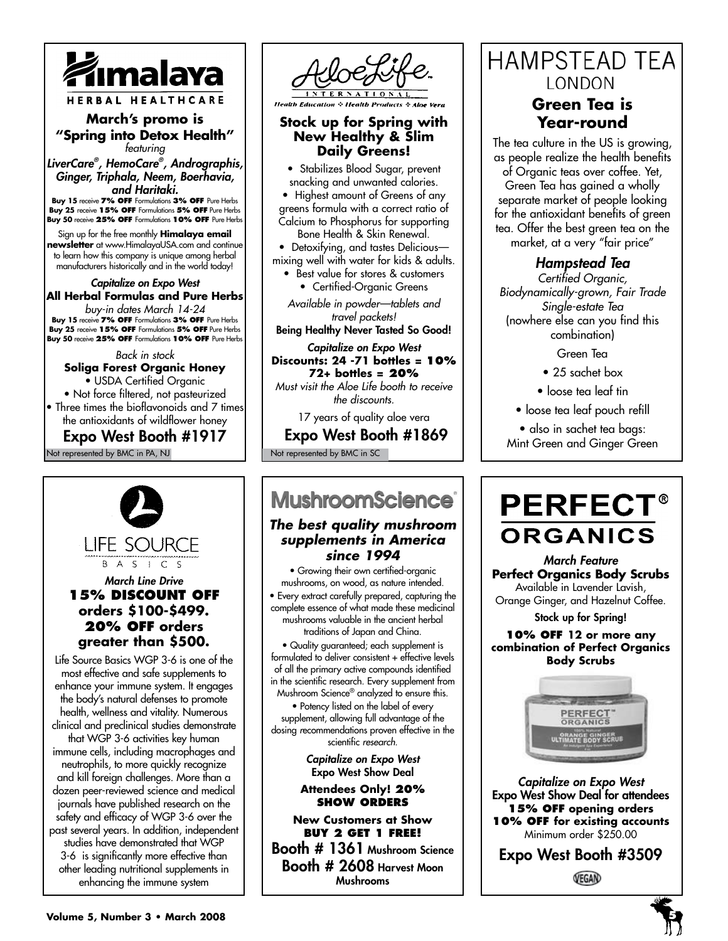

#### **March's promo is "Spring into Detox Health"** *featuring*

*LiverCare® , HemoCare® , Andrographis, Ginger, Triphala, Neem, Boerhavia, and Haritaki.* **Buy 15** receive **7% off** Formulations **3% off** Pure Herbs

**Buy 25** receive **15% off** Formulations **5% off** Pure Herbs **Buy 50** receive **25% off** Formulations **10% off** Pure Herbs

Sign up for the free monthly **Himalaya email newsletter** at www.HimalayaUSA.com and continue to learn how this company is unique among herbal manufacturers historically and in the world today!

#### *Capitalize on Expo West* **All Herbal Formulas and Pure Herbs** *buy-in dates March 14-24*

**Buy 15** receive **7% off** Formulations **3% off** Pure Herbs **Buy 25** receive **15% off** Formulations **5% off** Pure Herbs **Buy 50** receive **25% off** Formulations **10% off** Pure Herbs

#### *Back in stock* **Soliga Forest Organic Honey**

• USDA Certified Organic • Not force filtered, not pasteurized • Three times the bioflavonoids and 7 times the antioxidants of wildflower honey

Expo West Booth #1917

Not represented by BMC in PA, NJ



LIFE SOURCE **B** A S | C S

#### *March Line Drive* **15% discount off orders \$100-\$499. 20% off orders greater than \$500.**

Life Source Basics WGP 3-6 is one of the most effective and safe supplements to enhance your immune system. It engages the body's natural defenses to promote health, wellness and vitality. Numerous clinical and preclinical studies demonstrate that WGP 3-6 activities key human immune cells, including macrophages and neutrophils, to more quickly recognize and kill foreign challenges. More than a dozen peer-reviewed science and medical journals have published research on the safety and efficacy of WGP 3-6 over the past several years. In addition, independent studies have demonstrated that WGP 3-6 is significantly more effective than other leading nutritional supplements in enhancing the immune system



**Health Education & Health Products & Alos** 

#### **Stock up for Spring with New Healthy & Slim Daily Greens!**

• Stabilizes Blood Sugar, prevent snacking and unwanted calories. • Highest amount of Greens of any greens formula with a correct ratio of Calcium to Phosphorus for supporting Bone Health & Skin Renewal.

• Detoxifying, and tastes Delicious mixing well with water for kids & adults.

Best value for stores & customers • Certified-Organic Greens

*Available in powder—tablets and travel packets!*

Being Healthy Never Tasted So Good!

#### *Capitalize on Expo West* **Discounts: 24 -71 bottles = 10% 72+ bottles = 20%** *Must visit the Aloe Life booth to receive*

*the discounts.*

17 years of quality aloe vera

#### Expo West Booth #1869

Not represented by BMC in SC

# **MushroomScience**®

#### *The best quality mushroom supplements in America since 1994*

• Growing their own certified-organic mushrooms, on wood, as nature intended. • Every extract carefully prepared, capturing the complete essence of what made these medicinal mushrooms valuable in the ancient herbal traditions of Japan and China. • Quality guaranteed; each supplement is formulated to deliver consistent + effective levels of all the primary active compounds identified in the scientific research. Every supplement from

Mushroom Science® analyzed to ensure this. • Potency listed on the label of every supplement, allowing full advantage of the dosing *r*ecommendations proven effective in the

scientific *research.*

*Capitalize on Expo West* Expo West Show Deal

#### **Attendees Only! 20% show orders**

**New Customers at Show buy 2 get 1 free!**

Booth # 1361 Mushroom Science Booth # 2608 Harvest Moon Mushrooms

## **HAMPSTEAD TEA** LONDON

## **Green Tea is Year-round**

The tea culture in the US is growing, as people realize the health benefits of Organic teas over coffee. Yet, Green Tea has gained a wholly separate market of people looking for the antioxidant benefits of green tea. Offer the best green tea on the market, at a very "fair price"

### *Hampstead Tea*

*Certified Organic, Biodynamically-grown, Fair Trade Single-estate Tea* (nowhere else can you find this combination)

Green Tea

• 25 sachet box

• loose tea leaf tin

• loose tea leaf pouch refill

• also in sachet tea bags: Mint Green and Ginger Green

# **PERFECT® ORGANICS**

*March Feature* **Perfect Organics Body Scrubs**  Available in Lavender Lavish, Orange Ginger, and Hazelnut Coffee.

Stock up for Spring!

**10% off 12 or more any combination of Perfect Organics Body Scrubs**



*Capitalize on Expo West* Expo West Show Deal for attendees **15% off opening orders 10% off for existing accounts** Minimum order \$250.00

Expo West Booth #3509

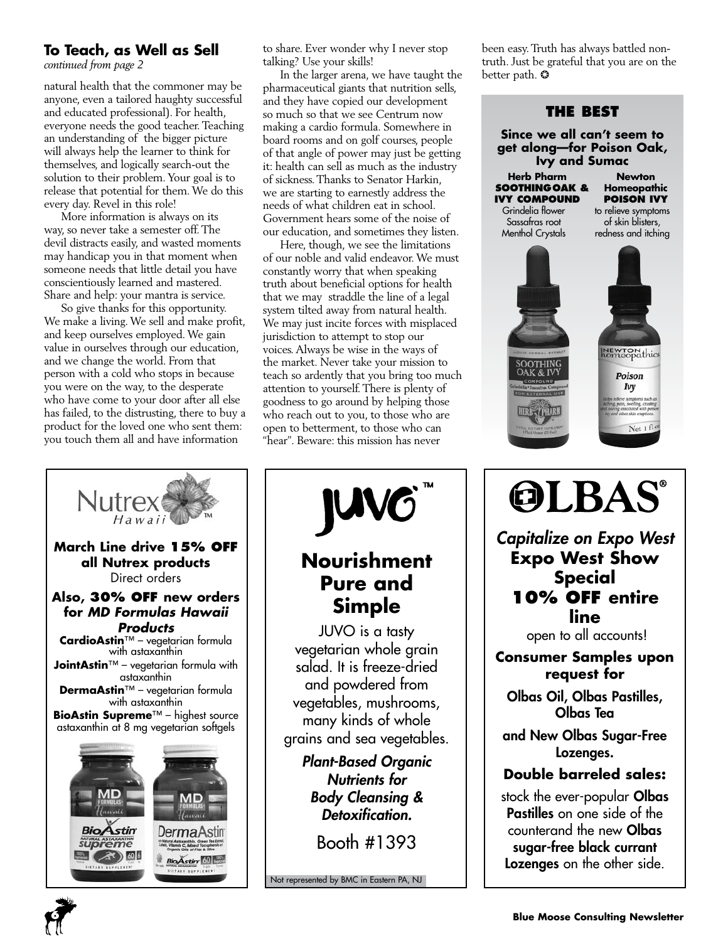### **To Teach, as Well as Sell**

*continued from page 2*

natural health that the commoner may be anyone, even a tailored haughty successful and educated professional). For health, everyone needs the good teacher. Teaching an understanding of the bigger picture will always help the learner to think for themselves, and logically search-out the solution to their problem. Your goal is to release that potential for them. We do this every day. Revel in this role!

More information is always on its way, so never take a semester off. The devil distracts easily, and wasted moments may handicap you in that moment when someone needs that little detail you have conscientiously learned and mastered. Share and help: your mantra is service.

So give thanks for this opportunity. We make a living. We sell and make profit, and keep ourselves employed. We gain value in ourselves through our education, and we change the world. From that person with a cold who stops in because you were on the way, to the desperate who have come to your door after all else has failed, to the distrusting, there to buy a product for the loved one who sent them: you touch them all and have information

to share. Ever wonder why I never stop talking? Use your skills!

In the larger arena, we have taught the pharmaceutical giants that nutrition sells, and they have copied our development so much so that we see Centrum now making a cardio formula. Somewhere in board rooms and on golf courses, people of that angle of power may just be getting it: health can sell as much as the industry of sickness. Thanks to Senator Harkin, we are starting to earnestly address the needs of what children eat in school. Government hears some of the noise of our education, and sometimes they listen.

Here, though, we see the limitations of our noble and valid endeavor. We must constantly worry that when speaking truth about beneficial options for health that we may straddle the line of a legal system tilted away from natural health. We may just incite forces with misplaced jurisdiction to attempt to stop our voices. Always be wise in the ways of the market. Never take your mission to teach so ardently that you bring too much attention to yourself. There is plenty of goodness to go around by helping those who reach out to you, to those who are open to betterment, to those who can "hear". Beware: this mission has never

been easy. Truth has always battled nontruth. Just be grateful that you are on the better path. ❂



**OLBAS®** 

*Capitalize on Expo West* **Expo West Show Special 10% off entire line**

open to all accounts!

#### **Consumer Samples upon request for**

Olbas Oil, Olbas Pastilles, Olbas Tea

and New Olbas Sugar-Free Lozenges.

#### **Double barreled sales:**

stock the ever-popular Olbas Pastilles on one side of the counterand the new Olbas sugar-free black currant Lozenges on the other side.



**6**

**Nourishment Pure and** 

**JUV** 

**Simple** JUVO is a tasty vegetarian whole grain salad. It is freeze-dried and powdered from vegetables, mushrooms, many kinds of whole grains and sea vegetables.

*Plant-Based Organic Nutrients for Body Cleansing & Detoxification.*

Booth #1393

Not represented by BMC in Eastern PA, NJ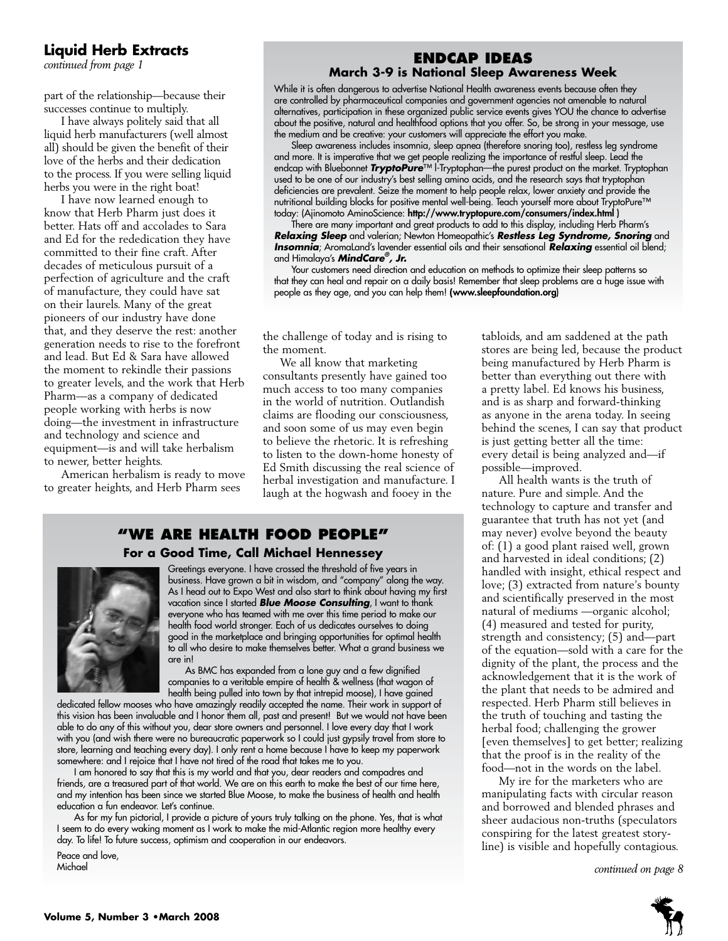# **Liquid Herb Extracts**

part of the relationship—because their successes continue to multiply.

I have always politely said that all liquid herb manufacturers (well almost all) should be given the benefit of their love of the herbs and their dedication to the process. If you were selling liquid herbs you were in the right boat!

I have now learned enough to know that Herb Pharm just does it better. Hats off and accolades to Sara and Ed for the rededication they have committed to their fine craft. After decades of meticulous pursuit of a perfection of agriculture and the craft of manufacture, they could have sat on their laurels. Many of the great pioneers of our industry have done that, and they deserve the rest: another generation needs to rise to the forefront and lead. But Ed & Sara have allowed the moment to rekindle their passions to greater levels, and the work that Herb Pharm—as a company of dedicated people working with herbs is now doing—the investment in infrastructure and technology and science and equipment—is and will take herbalism to newer, better heights.

American herbalism is ready to move to greater heights, and Herb Pharm sees

# **end in the Exiliation of the continued from page 1**<br> **March 3-9 is National Sleep Awareness Week**

While it is often dangerous to advertise National Health awareness events because often they are controlled by pharmaceutical companies and government agencies not amenable to natural alternatives, participation in these organized public service events gives YOU the chance to advertise about the positive, natural and healthfood options that you offer. So, be strong in your message, use the medium and be creative: your customers will appreciate the effort you make.

Sleep awareness includes insomnia, sleep apnea (therefore snoring too), restless leg syndrome and more. It is imperative that we get people realizing the importance of restful sleep. Lead the endcap with Bluebonnet *TryptoPure*™ l-Tryptophan—the purest product on the market. Tryptophan used to be one of our industry's best selling amino acids, and the research says that tryptophan deficiencies are prevalent. Seize the moment to help people relax, lower anxiety and provide the nutritional building blocks for positive mental well-being. Teach yourself more about TryptoPure™ today: (Ajinomoto AminoScience: http://www.tryptopure.com/consumers/index.html )

There are many important and great products to add to this display, including Herb Pharm's *Relaxing Sleep* and valerian; Newton Homeopathic's *Restless Leg Syndrome, Snoring* and *Insomnia*; AromaLand's lavender essential oils and their sensational *Relaxing* essential oil blend; and Himalaya's *MindCare® , Jr.*

Your customers need direction and education on methods to optimize their sleep patterns so that they can heal and repair on a daily basis! Remember that sleep problems are a huge issue with people as they age, and you can help them! **(**www.sleepfoundation.org)

the challenge of today and is rising to the moment.

We all know that marketing consultants presently have gained too much access to too many companies in the world of nutrition. Outlandish claims are flooding our consciousness, and soon some of us may even begin to believe the rhetoric. It is refreshing to listen to the down-home honesty of Ed Smith discussing the real science of herbal investigation and manufacture. I laugh at the hogwash and fooey in the

#### **"We Are health food people" For a Good Time, Call Michael Hennessey**



Greetings everyone. I have crossed the threshold of five years in business. Have grown a bit in wisdom, and "company" along the way. As I head out to Expo West and also start to think about having my first vacation since I started *Blue Moose Consulting*, I want to thank everyone who has teamed with me over this time period to make our health food world stronger. Each of us dedicates ourselves to doing good in the marketplace and bringing opportunities for optimal health to all who desire to make themselves better. What a grand business we are in!

As BMC has expanded from a lone guy and a few dignified companies to a veritable empire of health & wellness (that wagon of health being pulled into town by that intrepid moose), I have gained

dedicated fellow mooses who have amazingly readily accepted the name. Their work in support of this vision has been invaluable and I honor them all, past and present! But we would not have been able to do any of this without you, dear store owners and personnel. I love every day that I work with you (and wish there were no bureaucratic paperwork so I could just gypsily travel from store to store, learning and teaching every day). I only rent a home because I have to keep my paperwork somewhere: and I rejoice that I have not tired of the road that takes me to you.

I am honored to say that this is my world and that you, dear readers and compadres and friends, are a treasured part of that world. We are on this earth to make the best of our time here, and my intention has been since we started Blue Moose, to make the business of health and health education a fun endeavor. Let's continue.

As for my fun pictorial, I provide a picture of yours truly talking on the phone. Yes, that is what I seem to do every waking moment as I work to make the mid-Atlantic region more healthy every day. To life! To future success, optimism and cooperation in our endeavors.

Peace and love,<br>Michael

tabloids, and am saddened at the path stores are being led, because the product being manufactured by Herb Pharm is better than everything out there with a pretty label. Ed knows his business, and is as sharp and forward-thinking as anyone in the arena today. In seeing behind the scenes, I can say that product is just getting better all the time: every detail is being analyzed and—if possible—improved.

All health wants is the truth of nature. Pure and simple. And the technology to capture and transfer and guarantee that truth has not yet (and may never) evolve beyond the beauty of: (1) a good plant raised well, grown and harvested in ideal conditions; (2) handled with insight, ethical respect and love; (3) extracted from nature's bounty and scientifically preserved in the most natural of mediums —organic alcohol; (4) measured and tested for purity, strength and consistency; (5) and—part of the equation—sold with a care for the dignity of the plant, the process and the acknowledgement that it is the work of the plant that needs to be admired and respected. Herb Pharm still believes in the truth of touching and tasting the herbal food; challenging the grower [even themselves] to get better; realizing that the proof is in the reality of the food—not in the words on the label.

My ire for the marketers who are manipulating facts with circular reason and borrowed and blended phrases and sheer audacious non-truths (speculators conspiring for the latest greatest storyline) is visible and hopefully contagious.

continued on page 8